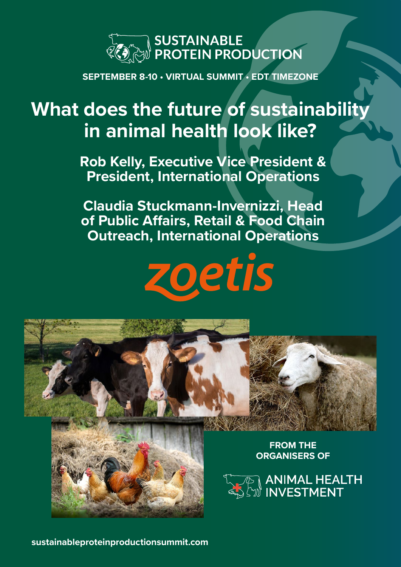

**SEPTEMBER 8-10 • VIRTUAL SUMMIT • EDT TIMEZONE**

# **What does the future of sustainability in animal health look like?**

**Rob Kelly, Executive Vice President & President, International Operations**

**Claudia Stuckmann-Invernizzi, Head of Public Affairs, Retail & Food Chain Outreach, International Operations**





**FROM THE ORGANISERS OF**

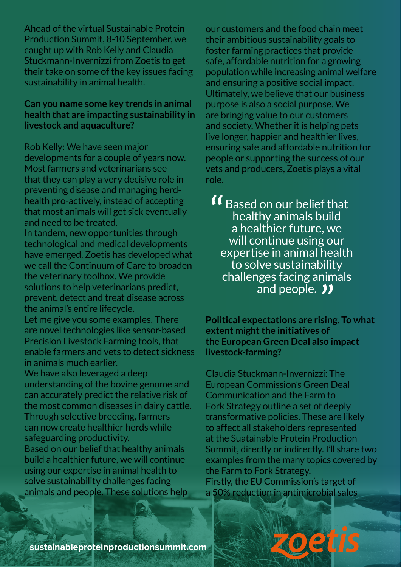Ahead of the virtual Sustainable Protein Production Summit, 8-10 September, we caught up with Rob Kelly and Claudia Stuckmann-Invernizzi from Zoetis to get their take on some of the key issues facing sustainability in animal health.

#### **Can you name some key trends in animal health that are impacting sustainability in livestock and aquaculture?**

Rob Kelly: We have seen major developments for a couple of years now. Most farmers and veterinarians see that they can play a very decisive role in preventing disease and managing herdhealth pro-actively, instead of accepting that most animals will get sick eventually and need to be treated.

In tandem, new opportunities through technological and medical developments have emerged. Zoetis has developed what we call the Continuum of Care to broaden the veterinary toolbox. We provide solutions to help veterinarians predict, prevent, detect and treat disease across the animal's entire lifecycle.

Let me give you some examples. There are novel technologies like sensor-based Precision Livestock Farming tools, that enable farmers and vets to detect sickness in animals much earlier.

We have also leveraged a deep understanding of the bovine genome and can accurately predict the relative risk of the most common diseases in dairy cattle. Through selective breeding, farmers can now create healthier herds while safeguarding productivity.

Based on our belief that healthy animals build a healthier future, we will continue using our expertise in animal health to solve sustainability challenges facing animals and people. These solutions help our customers and the food chain meet their ambitious sustainability goals to foster farming practices that provide safe, affordable nutrition for a growing population while increasing animal welfare and ensuring a positive social impact. Ultimately, we believe that our business purpose is also a social purpose. We are bringing value to our customers and society. Whether it is helping pets live longer, happier and healthier lives, ensuring safe and affordable nutrition for people or supporting the success of our vets and producers, Zoetis plays a vital role.

Based on our belief that healthy animals build a healthier future, we will continue using our expertise in animal health to solve sustainability challenges facing animals and people. 11 "<br>"

**Political expectations are rising. To what extent might the initiatives of the European Green Deal also impact livestock-farming?**

Claudia Stuckmann-Invernizzi: The European Commission's Green Deal Communication and the Farm to Fork Strategy outline a set of deeply transformative policies. These are likely to affect all stakeholders represented at the Suatainable Protein Production Summit, directly or indirectly. I'll share two examples from the many topics covered by the Farm to Fork Strategy. Firstly, the EU Commission's target of a 50% reduction in antimicrobial sales

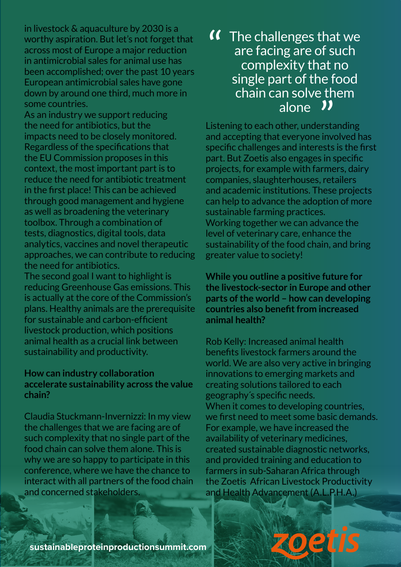in livestock & aquaculture by 2030 is a worthy aspiration. But let's not forget that across most of Europe a major reduction in antimicrobial sales for animal use has been accomplished; over the past 10 years European antimicrobial sales have gone down by around one third, much more in some countries.

As an industry we support reducing the need for antibiotics, but the impacts need to be closely monitored. Regardless of the specifications that the EU Commission proposes in this context, the most important part is to reduce the need for antibiotic treatment in the first place! This can be achieved through good management and hygiene as well as broadening the veterinary toolbox. Through a combination of tests, diagnostics, digital tools, data analytics, vaccines and novel therapeutic approaches, we can contribute to reducing the need for antibiotics.

The second goal I want to highlight is reducing Greenhouse Gas emissions. This is actually at the core of the Commission's plans. Healthy animals are the prerequisite for sustainable and carbon-efficient livestock production, which positions animal health as a crucial link between sustainability and productivity.

### **How can industry collaboration accelerate sustainability across the value chain?**

Claudia Stuckmann-Invernizzi: In my view the challenges that we are facing are of such complexity that no single part of the food chain can solve them alone. This is why we are so happy to participate in this conference, where we have the chance to interact with all partners of the food chain and concerned stakeholders.

## **If** The challenges that we<br>are facing are of such<br>complexity that no are facing are of such complexity that no single part of the food chain can solve them alone  $\overline{\mathbf{v}}$ <br>other, understation

Listening to each other, understanding and accepting that everyone involved has specific challenges and interests is the first part. But Zoetis also engages in specific projects, for example with farmers, dairy companies, slaughterhouses, retailers and academic institutions. These projects can help to advance the adoption of more sustainable farming practices. Working together we can advance the level of veterinary care, enhance the sustainability of the food chain, and bring greater value to society!

**While you outline a positive future for the livestock-sector in Europe and other parts of the world – how can developing countries also benefit from increased animal health?** 

Rob Kelly: Increased animal health benefits livestock farmers around the world. We are also very active in bringing innovations to emerging markets and creating solutions tailored to each geography´s specific needs. When it comes to developing countries, we first need to meet some basic demands. For example, we have increased the availability of veterinary medicines, created sustainable diagnostic networks, and provided training and education to farmers in sub-Saharan Africa through the Zoetis African Livestock Productivity and Health Advancement (A.L.P.H.A.)